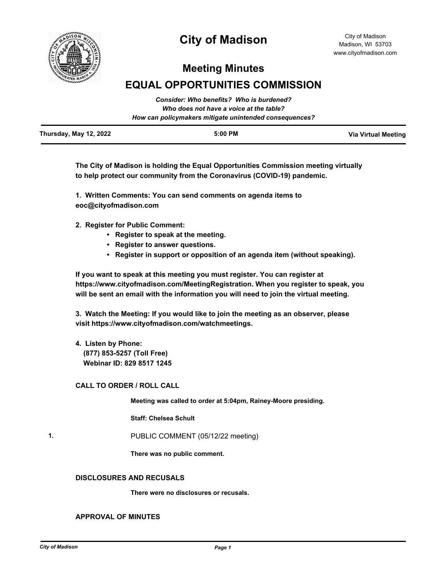

# **City of Madison**

## **Meeting Minutes**

# **EQUAL OPPORTUNITIES COMMISSION**

|                               | Consider: Who benefits? Who is burdened?<br>Who does not have a voice at the table? |                     |
|-------------------------------|-------------------------------------------------------------------------------------|---------------------|
|                               | How can policymakers mitigate unintended consequences?                              |                     |
| <b>Thursday, May 12, 2022</b> | 5:00 PM                                                                             | Via Virtual Meeting |

**The City of Madison is holding the Equal Opportunities Commission meeting virtually to help protect our community from the Coronavirus (COVID-19) pandemic.**

**1. Written Comments: You can send comments on agenda items to eoc@cityofmadison.com**

**2. Register for Public Comment:** 

- **Register to speak at the meeting.**
- **Register to answer questions.**
- **Register in support or opposition of an agenda item (without speaking).**

**If you want to speak at this meeting you must register. You can register at https://www.cityofmadison.com/MeetingRegistration. When you register to speak, you will be sent an email with the information you will need to join the virtual meeting.**

**3. Watch the Meeting: If you would like to join the meeting as an observer, please visit https://www.cityofmadison.com/watchmeetings.**

**4. Listen by Phone: (877) 853-5257 (Toll Free) Webinar ID: 829 8517 1245**

### **CALL TO ORDER / ROLL CALL**

**Meeting was called to order at 5:04pm, Rainey-Moore presiding.**

**Staff: Chelsea Schult**

**1.** PUBLIC COMMENT (05/12/22 meeting)

**There was no public comment.**

#### **DISCLOSURES AND RECUSALS**

**There were no disclosures or recusals.**

#### **APPROVAL OF MINUTES**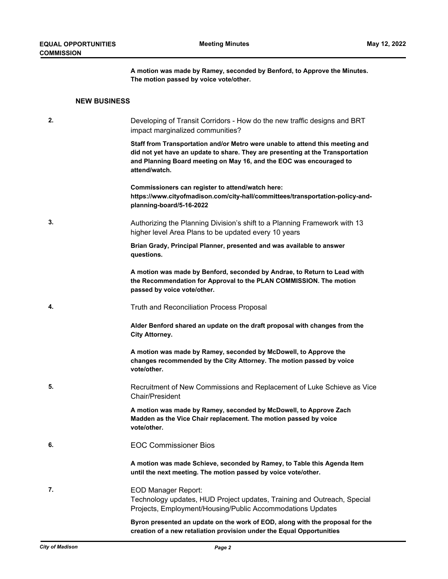**A motion was made by Ramey, seconded by Benford, to Approve the Minutes. The motion passed by voice vote/other.**

### **NEW BUSINESS**

| 2. | Developing of Transit Corridors - How do the new traffic designs and BRT<br>impact marginalized communities?                                                                                                                                            |
|----|---------------------------------------------------------------------------------------------------------------------------------------------------------------------------------------------------------------------------------------------------------|
|    | Staff from Transportation and/or Metro were unable to attend this meeting and<br>did not yet have an update to share. They are presenting at the Transportation<br>and Planning Board meeting on May 16, and the EOC was encouraged to<br>attend/watch. |
|    | Commissioners can register to attend/watch here:<br>https://www.cityofmadison.com/city-hall/committees/transportation-policy-and-<br>planning-board/5-16-2022                                                                                           |
| 3. | Authorizing the Planning Division's shift to a Planning Framework with 13<br>higher level Area Plans to be updated every 10 years                                                                                                                       |
|    | Brian Grady, Principal Planner, presented and was available to answer<br>questions.                                                                                                                                                                     |
|    | A motion was made by Benford, seconded by Andrae, to Return to Lead with<br>the Recommendation for Approval to the PLAN COMMISSION. The motion<br>passed by voice vote/other.                                                                           |
| 4. | Truth and Reconciliation Process Proposal                                                                                                                                                                                                               |
|    | Alder Benford shared an update on the draft proposal with changes from the<br><b>City Attorney.</b>                                                                                                                                                     |
|    | A motion was made by Ramey, seconded by McDowell, to Approve the<br>changes recommended by the City Attorney. The motion passed by voice<br>vote/other.                                                                                                 |
| 5. | Recruitment of New Commissions and Replacement of Luke Schieve as Vice<br>Chair/President                                                                                                                                                               |
|    | A motion was made by Ramey, seconded by McDowell, to Approve Zach<br>Madden as the Vice Chair replacement. The motion passed by voice<br>vote/other.                                                                                                    |
| 6. | <b>EOC Commissioner Bios</b>                                                                                                                                                                                                                            |
|    | A motion was made Schieve, seconded by Ramey, to Table this Agenda Item<br>until the next meeting. The motion passed by voice vote/other.                                                                                                               |
| 7. | <b>EOD Manager Report:</b><br>Technology updates, HUD Project updates, Training and Outreach, Special<br>Projects, Employment/Housing/Public Accommodations Updates                                                                                     |
|    | Byron presented an update on the work of EOD, along with the proposal for the<br>creation of a new retaliation provision under the Equal Opportunities                                                                                                  |